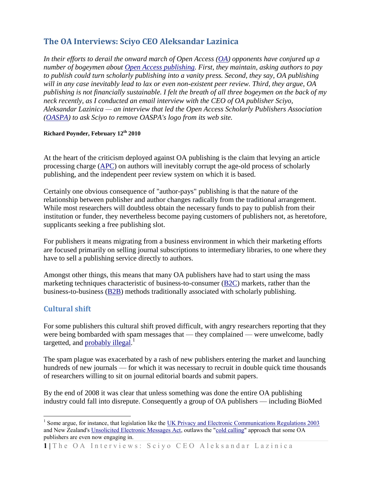# **The OA Interviews: Sciyo CEO Aleksandar Lazinica**

*In their efforts to derail the onward march of Open Access [\(OA\)](http://www.earlham.edu/~peters/fos/overview.htm) opponents have conjured up a number of bogeymen about [Open Access publishing.](http://en.wikipedia.org/wiki/Open_access_%28publishing%29) First, they maintain, asking authors to pay to publish could turn scholarly publishing into a vanity press. Second, they say, OA publishing will in any case inevitably lead to lax or even non-existent peer review. Third, they argue, OA publishing is not financially sustainable. I felt the breath of all three bogeymen on the back of my neck recently, as I conducted an email interview with the CEO of OA publisher Sciyo, Aleksandar Lazinica — an interview that led the Open Access Scholarly Publishers Association [\(OASPA\)](http://www.oaspa.org/) to ask Sciyo to remove OASPA's logo from its web site.*

#### **Richard Poynder, February 12 th 2010**

At the heart of the criticism deployed against OA publishing is the claim that levying an article processing charge [\(APC\)](http://www.biomedcentral.com/info/about/apcfaq) on authors will inevitably corrupt the age-old process of scholarly publishing, and the independent peer review system on which it is based.

Certainly one obvious consequence of "author-pays" publishing is that the nature of the relationship between publisher and author changes radically from the traditional arrangement. While most researchers will doubtless obtain the necessary funds to pay to publish from their institution or funder, they nevertheless become paying customers of publishers not, as heretofore, supplicants seeking a free publishing slot.

For publishers it means migrating from a business environment in which their marketing efforts are focused primarily on selling journal subscriptions to intermediary libraries, to one where they have to sell a publishing service directly to authors.

Amongst other things, this means that many OA publishers have had to start using the mass marketing techniques characteristic of business-to-consumer [\(B2C\)](http://en.wikipedia.org/wiki/Business-to-consumer) markets, rather than the business-to-business [\(B2B\)](http://en.wikipedia.org/wiki/Business-to-business) methods traditionally associated with scholarly publishing.

## **Cultural shift**

 $\overline{a}$ 

For some publishers this cultural shift proved difficult, with angry researchers reporting that they were being bombarded with spam messages that — they complained — were unwelcome, badly targetted, and [probably](http://gunther-eysenbach.blogspot.com/2008/03/black-sheep-among-open-access-journals.html) illegal.<sup>1</sup>

The spam plague was exacerbated by a rash of new publishers entering the market and launching hundreds of new journals — for which it was necessary to recruit in double quick time thousands of researchers willing to sit on journal editorial boards and submit papers.

By the end of 2008 it was clear that unless something was done the entire OA publishing industry could fall into disrepute. Consequently a group of OA publishers — including BioMed

<sup>&</sup>lt;sup>1</sup> Some argue, for instance, that legislation like the UK Privacy and Electronic Communications Regulations  $2003$ and New Zealand'[s Unsolicited Electronic Messages Act,](http://www.legislation.govt.nz/act/public/2007/0007/latest/whole.html#DLM405134) outlaws the ["cold calling"](http://en.wikipedia.org/wiki/Cold_calling) approach that some OA publishers are even now engaging in.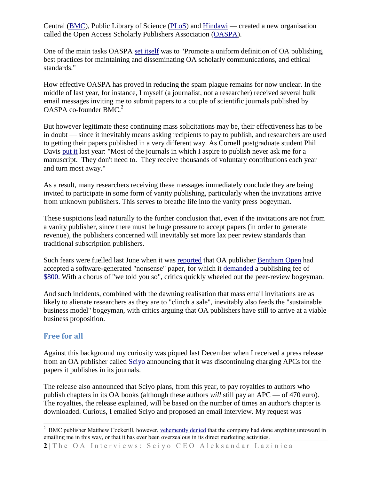Central [\(BMC\)](http://www.biomedcentral.com/info/about/apcfaq), Public Library of Science [\(PLoS\)](http://www.plos.org/) and [Hindawi](http://www.hindawi.com/) — created a new organisation called the Open Access Scholarly Publishers Association [\(OASPA\)](http://www.oaspa.org/).

One of the main tasks OASPA [set itself](http://www.oaspa.org/mission.php) was to "Promote a uniform definition of OA publishing, best practices for maintaining and disseminating OA scholarly communications, and ethical standards."

How effective OASPA has proved in reducing the spam plague remains for now unclear. In the middle of last year, for instance, I myself (a journalist, not a researcher) received several bulk email messages inviting me to submit papers to a couple of scientific journals published by OASPA co-founder BMC.<sup>2</sup>

But however legitimate these continuing mass solicitations may be, their effectiveness has to be in doubt — since it inevitably means asking recipients to pay to publish, and researchers are used to getting their papers published in a very different way. As Cornell postgraduate student Phil Davis [put it](http://scholarlykitchen.sspnet.org/2009/03/12/bentham-publishers/) last year: "Most of the journals in which I aspire to publish never ask me for a manuscript. They don't need to. They receive thousands of voluntary contributions each year and turn most away."

As a result, many researchers receiving these messages immediately conclude they are being invited to participate in some form of vanity publishing, particularly when the invitations arrive from unknown publishers. This serves to breathe life into the vanity press bogeyman.

These suspicions lead naturally to the further conclusion that, even if the invitations are not from a vanity publisher, since there must be huge pressure to accept papers (in order to generate revenue), the publishers concerned will inevitably set more lax peer review standards than traditional subscription publishers.

Such fears were fuelled last June when it was [reported](http://scholarlykitchen.sspnet.org/2009/06/10/nonsense-for-dollars/) that OA publisher [Bentham Open](http://www.bentham.org/open/) had accepted a software-generated "nonsense" paper, for which it [demanded](https://confluence.cornell.edu/download/attachments/2523490/acceptance+letter.gif) a publishing fee of [\\$800.](https://confluence.cornell.edu/download/attachments/2523490/Publisher+Fee+Form.xls) With a chorus of "we told you so", critics quickly wheeled out the peer-review bogeyman.

And such incidents, combined with the dawning realisation that mass email invitations are as likely to alienate researchers as they are to "clinch a sale", inevitably also feeds the "sustainable business model" bogeyman, with critics arguing that OA publishers have still to arrive at a viable business proposition.

## **Free for all**

 $\overline{a}$ 

Against this background my curiosity was piqued last December when I received a press release from an OA publisher called [Sciyo](http://sciyo.com/) announcing that it was discontinuing charging APCs for the papers it publishes in its journals.

The release also announced that Sciyo plans, from this year, to pay royalties to authors who publish chapters in its OA books (although these authors *will* still pay an APC — of 470 euro). The royalties, the release explained, will be based on the number of times an author's chapter is downloaded. Curious, I emailed Sciyo and proposed an email interview. My request was

<sup>&</sup>lt;sup>2</sup> BMC publisher Matthew Cockerill, however, [vehemently denied](http://poynder.blogspot.com/2009/10/interview-with-biomed-central-publisher.html) that the company had done anything untoward in emailing me in this way, or that it has ever been overzealous in its direct marketing activities.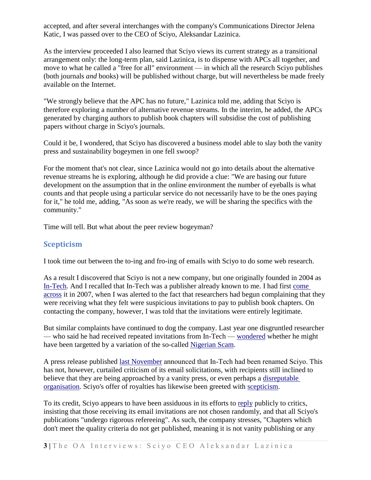accepted, and after several interchanges with the company's Communications Director Jelena Katic, I was passed over to the CEO of Sciyo, Aleksandar Lazinica.

As the interview proceeded I also learned that Sciyo views its current strategy as a transitional arrangement only: the long-term plan, said Lazinica, is to dispense with APCs all together, and move to what he called a "free for all" environment — in which all the research Sciyo publishes (both journals *and* books) will be published without charge, but will nevertheless be made freely available on the Internet.

"We strongly believe that the APC has no future," Lazinica told me, adding that Sciyo is therefore exploring a number of alternative revenue streams. In the interim, he added, the APCs generated by charging authors to publish book chapters will subsidise the cost of publishing papers without charge in Sciyo's journals.

Could it be, I wondered, that Sciyo has discovered a business model able to slay both the vanity press and sustainability bogeymen in one fell swoop?

For the moment that's not clear, since Lazinica would not go into details about the alternative revenue streams he is exploring, although he did provide a clue: "We are basing our future development on the assumption that in the online environment the number of eyeballs is what counts and that people using a particular service do not necessarily have to be the ones paying for it," he told me, adding, "As soon as we're ready, we will be sharing the specifics with the community."

Time will tell. But what about the peer review bogeyman?

## **Scepticism**

I took time out between the to-ing and fro-ing of emails with Sciyo to do some web research.

As a result I discovered that Sciyo is not a new company, but one originally founded in 2004 as [In-Tech.](http://intechweb.org/) And I recalled that In-Tech was a publisher already known to me. I had first [come](http://listserver.sigmaxi.org/sc/wa.exe?A2=ind07&L=american-scientist-open-access-forum&D=1&O=D&F=l&S=&P=114158)  [across](http://listserver.sigmaxi.org/sc/wa.exe?A2=ind07&L=american-scientist-open-access-forum&D=1&O=D&F=l&S=&P=114158) it in 2007, when I was alerted to the fact that researchers had begun complaining that they were receiving what they felt were suspicious invitations to pay to publish book chapters. On contacting the company, however, I was told that the invitations were entirely legitimate.

But similar complaints have continued to dog the company. Last year one disgruntled researcher — who said he had received repeated invitations from In-Tech — [wondered](http://www.velamparambil.com/2009/03/16/scientific-book-publishing-the-new-nigerian-scam/) whether he might have been targetted by a variation of the so-called [Nigerian Scam.](http://www.scambusters.org/NigerianFee.html)

A press release published [last November](http://sciyo.com/page/show/page/news) announced that In-Tech had been renamed Sciyo. This has not, however, curtailed criticism of its email solicitations, with recipients still inclined to believe that they are being approached by a vanity press, or even perhaps a [disreputable](http://randomdeterminism.wordpress.com/2009/12/15/a-new-publishing-model-for-academia/)  [organisation.](http://randomdeterminism.wordpress.com/2009/12/15/a-new-publishing-model-for-academia/) Sciyo's offer of royalties has likewise been greeted with [scepticism.](https://chronicle.com/forums/index.php?topic=65148.0)

To its credit, Sciyo appears to have been assiduous in its efforts to [reply](https://chronicle.com/forums/index.php?topic=65148.msg1458288#msg1458288) publicly to critics, insisting that those receiving its email invitations are not chosen randomly, and that all Sciyo's publications "undergo rigorous refereeing". As such, the company stresses, "Chapters which don't meet the quality criteria do not get published, meaning it is not vanity publishing or any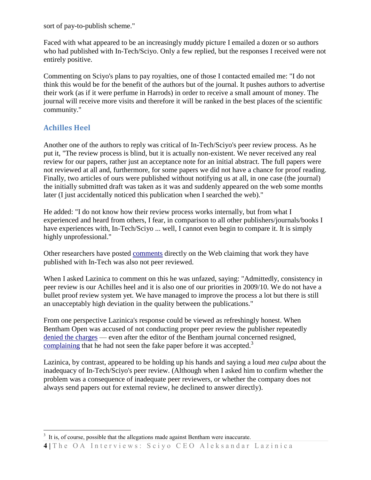sort of pay-to-publish scheme."

Faced with what appeared to be an increasingly muddy picture I emailed a dozen or so authors who had published with In-Tech/Sciyo. Only a few replied, but the responses I received were not entirely positive.

Commenting on Sciyo's plans to pay royalties, one of those I contacted emailed me: "I do not think this would be for the benefit of the authors but of the journal. It pushes authors to advertise their work (as if it were perfume in Harrods) in order to receive a small amount of money. The journal will receive more visits and therefore it will be ranked in the best places of the scientific community."

# **Achilles Heel**

 $\overline{a}$ 

Another one of the authors to reply was critical of In-Tech/Sciyo's peer review process. As he put it, "The review process is blind, but it is actually non-existent. We never received any real review for our papers, rather just an acceptance note for an initial abstract. The full papers were not reviewed at all and, furthermore, for some papers we did not have a chance for proof reading. Finally, two articles of ours were published without notifying us at all, in one case (the journal) the initially submitted draft was taken as it was and suddenly appeared on the web some months later (I just accidentally noticed this publication when I searched the web)."

He added: "I do not know how their review process works internally, but from what I experienced and heard from others, I fear, in comparison to all other publishers/journals/books I have experiences with, In-Tech/Sciyo ... well, I cannot even begin to compare it. It is simply highly unprofessional."

Other researchers have posted [comments](http://randomdeterminism.wordpress.com/2009/12/15/a-new-publishing-model-for-academia/) directly on the Web claiming that work they have published with In-Tech was also not peer reviewed.

When I asked Lazinica to comment on this he was unfazed, saying: "Admittedly, consistency in peer review is our Achilles heel and it is also one of our priorities in 2009/10. We do not have a bullet proof review system yet. We have managed to improve the process a lot but there is still an unacceptably high deviation in the quality between the publications."

From one perspective Lazinica's response could be viewed as refreshingly honest. When Bentham Open was accused of not conducting proper peer review the publisher repeatedly denied [the charges](http://www.newscientist.com/article/dn17288-spoof-paper-accepted-by-peerreviewed-journal.html) — even after the editor of the Bentham journal concerned resigned, [complaining](http://www.the-scientist.com/blog/display/55759/) that he had not seen the fake paper before it was accepted.<sup>3</sup>

Lazinica, by contrast, appeared to be holding up his hands and saying a loud *mea culpa* about the inadequacy of In-Tech/Sciyo's peer review. (Although when I asked him to confirm whether the problem was a consequence of inadequate peer reviewers, or whether the company does not always send papers out for external review, he declined to answer directly).

 $3<sup>3</sup>$  It is, of course, possible that the allegations made against Bentham were inaccurate.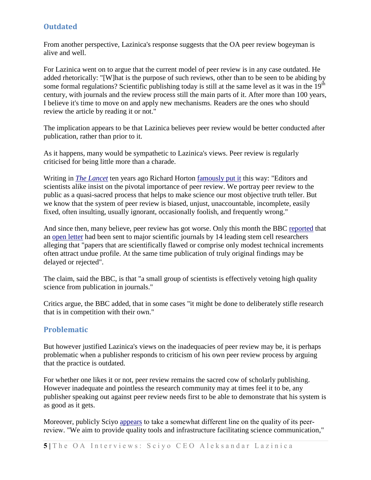# **Outdated**

From another perspective, Lazinica's response suggests that the OA peer review bogeyman is alive and well.

For Lazinica went on to argue that the current model of peer review is in any case outdated. He added rhetorically: "[W]hat is the purpose of such reviews, other than to be seen to be abiding by some formal regulations? Scientific publishing today is still at the same level as it was in the 19<sup>th</sup> century, with journals and the review process still the main parts of it. After more than 100 years, I believe it's time to move on and apply new mechanisms. Readers are the ones who should review the article by reading it or not."

The implication appears to be that Lazinica believes peer review would be better conducted after publication, rather than prior to it.

As it happens, many would be sympathetic to Lazinica's views. Peer review is regularly criticised for being little more than a charade.

Writing in *[The Lancet](http://www.thelancet.com/)* ten years ago Richard Horton [famously put it](http://www.mja.com.au/public/issues/172_04_210200/horton/horton.html#refbody7) this way: "Editors and scientists alike insist on the pivotal importance of peer review. We portray peer review to the public as a quasi-sacred process that helps to make science our most objective truth teller. But we know that the system of peer review is biased, unjust, unaccountable, incomplete, easily fixed, often insulting, usually ignorant, occasionally foolish, and frequently wrong."

And since then, many believe, peer review has got worse. Only this month the BBC [reported](http://news.bbc.co.uk/2/hi/science/nature/8490291.stm) that an [open letter](http://eurostemcell.org/commentanalysis/peer-revie) had been sent to major scientific journals by 14 leading stem cell researchers alleging that "papers that are scientifically flawed or comprise only modest technical increments often attract undue profile. At the same time publication of truly original findings may be delayed or rejected".

The claim, said the BBC, is that "a small group of scientists is effectively vetoing high quality science from publication in journals."

Critics argue, the BBC added, that in some cases "it might be done to deliberately stifle research that is in competition with their own."

## **Problematic**

But however justified Lazinica's views on the inadequacies of peer review may be, it is perhaps problematic when a publisher responds to criticism of his own peer review process by arguing that the practice is outdated.

For whether one likes it or not, peer review remains the sacred cow of scholarly publishing. However inadequate and pointless the research community may at times feel it to be, any publisher speaking out against peer review needs first to be able to demonstrate that his system is as good as it gets.

Moreover, publicly Sciyo [appears](http://sciyo.com/page/show/page/values) to take a somewhat different line on the quality of its peerreview. "We aim to provide quality tools and infrastructure facilitating science communication,"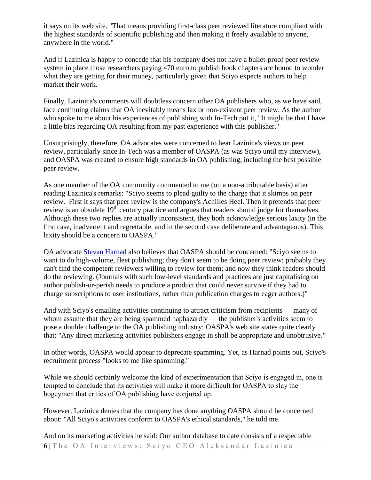it says on its web site. "That means providing first-class peer reviewed literature compliant with the highest standards of scientific publishing and then making it freely available to anyone, anywhere in the world."

And if Lazinica is happy to concede that his company does not have a bullet-proof peer review system in place those researchers paying 470 euro to publish book chapters are bound to wonder what they are getting for their money, particularly given that Sciyo expects authors to help market their work.

Finally, Lazinica's comments will doubtless concern other OA publishers who, as we have said, face continuing claims that OA inevitably means lax or non-existent peer review. As the author who spoke to me about his experiences of publishing with In-Tech put it, "It might be that I have a little bias regarding OA resulting from my past experience with this publisher."

Unsurprisingly, therefore, OA advocates were concerned to hear Lazinica's views on peer review, particularly since In-Tech was a member of OASPA (as was Sciyo until my interview), and OASPA was created to ensure high standards in OA publishing, including the best possible peer review.

As one member of the OA community commented to me (on a non-attributable basis) after reading Lazinica's remarks: "Sciyo seems to plead guilty to the charge that it skimps on peer review. First it says that peer review is the company's Achilles Heel. Then it pretends that peer review is an obsolete 19<sup>th</sup> century practice and argues that readers should judge for themselves. Although these two replies are actually inconsistent, they both acknowledge serious laxity (in the first case, inadvertent and regrettable, and in the second case deliberate and advantageous). This laxity should be a concern to OASPA."

OA advocate [Stevan Harnad](http://en.wikipedia.org/wiki/Stevan_Harnad) also believes that OASPA should be concerned: "Sciyo seems to want to do high-volume, fleet publishing; they don't seem to be doing peer review; probably they can't find the competent reviewers willing to review for them; and now they think readers should do the reviewing. (Journals with such low-level standards and practices are just capitalising on author publish-or-perish needs to produce a product that could never survive if they had to charge subscriptions to user institutions, rather than publication charges to eager authors.)"

And with Sciyo's emailing activities continuing to attract criticism from recipients — many of whom assume that they are being spammed haphazardly — the publisher's activities seem to pose a double challenge to the OA publishing industry: OASPA's web site states quite clearly that: "Any direct marketing activities publishers engage in shall be appropriate and unobtrusive."

In other words, OASPA would appear to deprecate spamming. Yet, as Harnad points out, Sciyo's recruitment process "looks to me like spamming."

While we should certainly welcome the kind of experimentation that Scivo is engaged in, one is tempted to conclude that its activities will make it more difficult for OASPA to slay the bogeymen that critics of OA publishing have conjured up.

However, Lazinica denies that the company has done anything OASPA should be concerned about: "All Sciyo's activities conform to OASPA's ethical standards," he told me.

**6** | The OA Interviews: Sciyo CEO Aleksandar Lazinica And on its marketing activities he said: Our author database to date consists of a respectable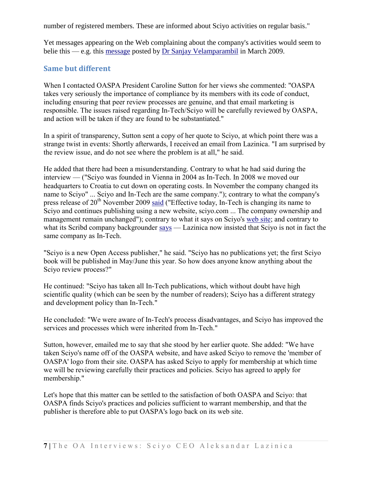number of registered members. These are informed about Sciyo activities on regular basis."

Yet messages appearing on the Web complaining about the company's activities would seem to belie this — e.g. this [message](http://www.velamparambil.com/2009/03/16/scientific-book-publishing-the-new-nigerian-scam/) posted by Dr Sanjay [Velamparambil](http://www.linkedin.com/pub/sanjay-velamparambil/5/a96/606) in March 2009.

## **Same but different**

When I contacted OASPA President Caroline Sutton for her views she commented: "OASPA takes very seriously the importance of compliance by its members with its code of conduct, including ensuring that peer review processes are genuine, and that email marketing is responsible. The issues raised regarding In-Tech/Sciyo will be carefully reviewed by OASPA, and action will be taken if they are found to be substantiated."

In a spirit of transparency, Sutton sent a copy of her quote to Sciyo, at which point there was a strange twist in events: Shortly afterwards, I received an email from Lazinica. "I am surprised by the review issue, and do not see where the problem is at all," he said.

He added that there had been a misunderstanding. Contrary to what he had said during the interview — ("Sciyo was founded in Vienna in 2004 as In-Tech. In 2008 we moved our headquarters to Croatia to cut down on operating costs. In November the company changed its name to Sciyo" ... Sciyo and In-Tech are the same company."); contrary to what the company's press release of  $20^{th}$  November 2009 [said](http://sciyo.com/page/show/page/news) ("Effective today, In-Tech is changing its name to Sciyo and continues publishing using a new website, sciyo.com ... The company ownership and management remain unchanged"); contrary to what it says on Sciyo's [web site;](http://sciyo.com/page/show/page/company) and contrary to what its Scribd company backgrounder [says](http://www.scribd.com/doc/24282813/Sciyo-Company-Backgrounder) — Lazinica now insisted that Sciyo is not in fact the same company as In-Tech.

"Sciyo is a new Open Access publisher," he said. "Sciyo has no publications yet; the first Sciyo book will be published in May/June this year. So how does anyone know anything about the Sciyo review process?"

He continued: "Sciyo has taken all In-Tech publications, which without doubt have high scientific quality (which can be seen by the number of readers); Sciyo has a different strategy and development policy than In-Tech."

He concluded: "We were aware of In-Tech's process disadvantages, and Sciyo has improved the services and processes which were inherited from In-Tech."

Sutton, however, emailed me to say that she stood by her earlier quote. She added: "We have taken Sciyo's name off of the OASPA website, and have asked Sciyo to remove the 'member of OASPA' logo from their site. OASPA has asked Sciyo to apply for membership at which time we will be reviewing carefully their practices and policies. Sciyo has agreed to apply for membership."

Let's hope that this matter can be settled to the satisfaction of both OASPA and Sciyo: that OASPA finds Sciyo's practices and policies sufficient to warrant membership, and that the publisher is therefore able to put OASPA's logo back on its web site.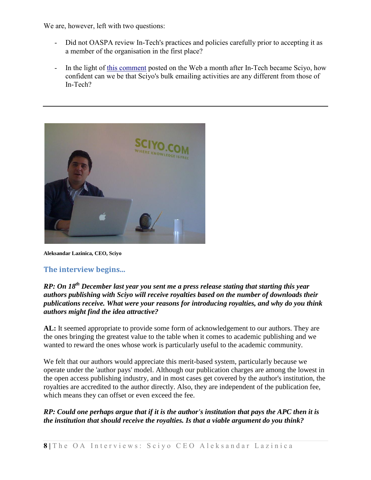We are, however, left with two questions:

- Did not OASPA review In-Tech's practices and policies carefully prior to accepting it as a member of the organisation in the first place?
- In the light of [this comment](http://randomdeterminism.wordpress.com/2009/12/15/a-new-publishing-model-for-academia/) posted on the Web a month after In-Tech became Scivo, how confident can we be that Sciyo's bulk emailing activities are any different from those of In-Tech?



**Aleksandar Lazinica, CEO, Sciyo**

## **The interview begins...**

## *RP: On 18th December last year you sent me a press release stating that starting this year authors publishing with Sciyo will receive royalties based on the number of downloads their publications receive. What were your reasons for introducing royalties, and why do you think authors might find the idea attractive?*

**AL:** It seemed appropriate to provide some form of acknowledgement to our authors. They are the ones bringing the greatest value to the table when it comes to academic publishing and we wanted to reward the ones whose work is particularly useful to the academic community.

We felt that our authors would appreciate this merit-based system, particularly because we operate under the 'author pays' model. Although our publication charges are among the lowest in the open access publishing industry, and in most cases get covered by the author's institution, the royalties are accredited to the author directly. Also, they are independent of the publication fee, which means they can offset or even exceed the fee.

## *RP: Could one perhaps argue that if it is the author's institution that pays the APC then it is the institution that should receive the royalties. Is that a viable argument do you think?*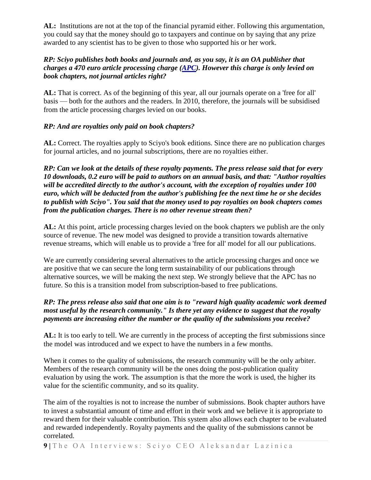**AL:** Institutions are not at the top of the financial pyramid either. Following this argumentation, you could say that the money should go to taxpayers and continue on by saying that any prize awarded to any scientist has to be given to those who supported his or her work.

## *RP: Sciyo publishes both books and journals and, as you say, it is an OA publisher that charges a 470 euro article processing charge [\(APC\)](http://www.biomedcentral.com/info/authors/apccomparison/). However this charge is only levied on book chapters, not journal articles right?*

**AL:** That is correct. As of the beginning of this year, all our journals operate on a 'free for all' basis — both for the authors and the readers. In 2010, therefore, the journals will be subsidised from the article processing charges levied on our books.

## *RP: And are royalties only paid on book chapters?*

**AL:** Correct. The royalties apply to Sciyo's book editions. Since there are no publication charges for journal articles, and no journal subscriptions, there are no royalties either.

*RP: Can we look at the details of these royalty payments. The press release said that for every 10 downloads, 0.2 euro will be paid to authors on an annual basis, and that: "Author royalties will be accredited directly to the author's account, with the exception of royalties under 100 euro, which will be deducted from the author's publishing fee the next time he or she decides to publish with Sciyo". You said that the money used to pay royalties on book chapters comes from the publication charges. There is no other revenue stream then?* 

**AL:** At this point, article processing charges levied on the book chapters we publish are the only source of revenue. The new model was designed to provide a transition towards alternative revenue streams, which will enable us to provide a 'free for all' model for all our publications.

We are currently considering several alternatives to the article processing charges and once we are positive that we can secure the long term sustainability of our publications through alternative sources, we will be making the next step. We strongly believe that the APC has no future. So this is a transition model from subscription-based to free publications.

## *RP: The press release also said that one aim is to "reward high quality academic work deemed most useful by the research community." Is there yet any evidence to suggest that the royalty payments are increasing either the number or the quality of the submissions you receive?*

**AL:** It is too early to tell. We are currently in the process of accepting the first submissions since the model was introduced and we expect to have the numbers in a few months.

When it comes to the quality of submissions, the research community will be the only arbiter. Members of the research community will be the ones doing the post-publication quality evaluation by using the work. The assumption is that the more the work is used, the higher its value for the scientific community, and so its quality.

The aim of the royalties is not to increase the number of submissions. Book chapter authors have to invest a substantial amount of time and effort in their work and we believe it is appropriate to reward them for their valuable contribution. This system also allows each chapter to be evaluated and rewarded independently. Royalty payments and the quality of the submissions cannot be correlated.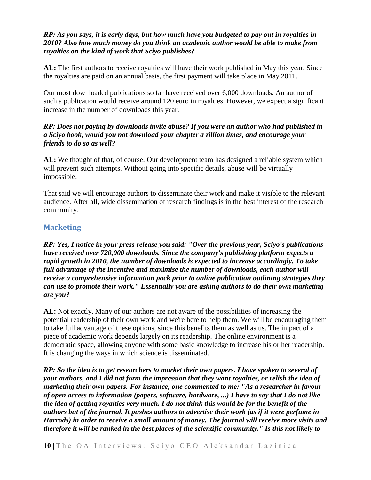### *RP: As you says, it is early days, but how much have you budgeted to pay out in royalties in 2010? Also how much money do you think an academic author would be able to make from royalties on the kind of work that Sciyo publishes?*

**AL:** The first authors to receive royalties will have their work published in May this year. Since the royalties are paid on an annual basis, the first payment will take place in May 2011.

Our most downloaded publications so far have received over 6,000 downloads. An author of such a publication would receive around 120 euro in royalties. However, we expect a significant increase in the number of downloads this year.

### *RP: Does not paying by downloads invite abuse? If you were an author who had published in a Sciyo book, would you not download your chapter a zillion times, and encourage your friends to do so as well?*

**AL:** We thought of that, of course. Our development team has designed a reliable system which will prevent such attempts. Without going into specific details, abuse will be virtually impossible.

That said we will encourage authors to disseminate their work and make it visible to the relevant audience. After all, wide dissemination of research findings is in the best interest of the research community.

# **Marketing**

*RP: Yes, I notice in your press release you said: "Over the previous year, Sciyo's publications have received over 720,000 downloads. Since the company's publishing platform expects a rapid growth in 2010, the number of downloads is expected to increase accordingly. To take full advantage of the incentive and maximise the number of downloads, each author will receive a comprehensive information pack prior to online publication outlining strategies they can use to promote their work." Essentially you are asking authors to do their own marketing are you?*

**AL:** Not exactly. Many of our authors are not aware of the possibilities of increasing the potential readership of their own work and we're here to help them. We will be encouraging them to take full advantage of these options, since this benefits them as well as us. The impact of a piece of academic work depends largely on its readership. The online environment is a democratic space, allowing anyone with some basic knowledge to increase his or her readership. It is changing the ways in which science is disseminated.

*RP: So the idea is to get researchers to market their own papers. I have spoken to several of your authors, and I did not form the impression that they want royalties, or relish the idea of marketing their own papers. For instance, one commented to me: "As a researcher in favour of open access to information (papers, software, hardware, ...) I have to say that I do not like the idea of getting royalties very much. I do not think this would be for the benefit of the authors but of the journal. It pushes authors to advertise their work (as if it were perfume in Harrods) in order to receive a small amount of money. The journal will receive more visits and therefore it will be ranked in the best places of the scientific community." Is this not likely to*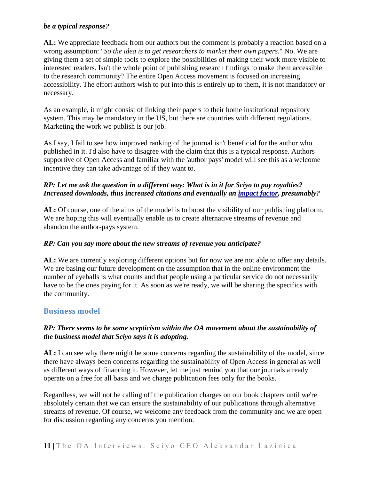### *be a typical response?*

**AL:** We appreciate feedback from our authors but the comment is probably a reaction based on a wrong assumption: "*So the idea is to get researchers to market their own papers.*" No. We are giving them a set of simple tools to explore the possibilities of making their work more visible to interested readers. Isn't the whole point of publishing research findings to make them accessible to the research community? The entire Open Access movement is focused on increasing accessibility. The effort authors wish to put into this is entirely up to them, it is not mandatory or necessary.

As an example, it might consist of linking their papers to their home institutional repository system. This may be mandatory in the US, but there are countries with different regulations. Marketing the work we publish is our job.

As I say, I fail to see how improved ranking of the journal isn't beneficial for the author who published in it. I'd also have to disagree with the claim that this is a typical response. Authors supportive of Open Access and familiar with the 'author pays' model will see this as a welcome incentive they can take advantage of if they want to.

## *RP: Let me ask the question in a different way: What is in it for Sciyo to pay royalties? Increased downloads, thus increased citations and eventually an [impact factor,](http://en.wikipedia.org/wiki/Impact_factor) presumably?*

**AL:** Of course, one of the aims of the model is to boost the visibility of our publishing platform. We are hoping this will eventually enable us to create alternative streams of revenue and abandon the author-pays system.

## *RP: Can you say more about the new streams of revenue you anticipate?*

AL: We are currently exploring different options but for now we are not able to offer any details. We are basing our future development on the assumption that in the online environment the number of eyeballs is what counts and that people using a particular service do not necessarily have to be the ones paying for it. As soon as we're ready, we will be sharing the specifics with the community.

## **Business model**

## *RP: There seems to be some scepticism within the OA movement about the sustainability of the business model that Sciyo says it is adopting.*

**AL:** I can see why there might be some concerns regarding the sustainability of the model, since there have always been concerns regarding the sustainability of Open Access in general as well as different ways of financing it. However, let me just remind you that our journals already operate on a free for all basis and we charge publication fees only for the books.

Regardless, we will not be calling off the publication charges on our book chapters until we're absolutely certain that we can ensure the sustainability of our publications through alternative streams of revenue. Of course, we welcome any feedback from the community and we are open for discussion regarding any concerns you mention.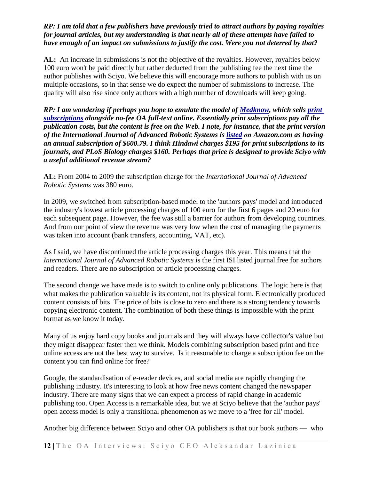## *RP: I am told that a few publishers have previously tried to attract authors by paying royalties for journal articles, but my understanding is that nearly all of these attempts have failed to have enough of an impact on submissions to justify the cost. Were you not deterred by that?*

**AL:** An increase in submissions is not the objective of the royalties. However, royalties below 100 euro won't be paid directly but rather deducted from the publishing fee the next time the author publishes with Sciyo. We believe this will encourage more authors to publish with us on multiple occasions, so in that sense we do expect the number of submissions to increase. The quality will also rise since only authors with a high number of downloads will keep going.

*RP: I am wondering if perhaps you hope to emulate the model of [Medknow,](http://www.medknow.com/) which sells [print](http://www.medknow.com/subscribe.asp)  [subscriptions](http://www.medknow.com/subscribe.asp) alongside no-fee OA full-text online. Essentially print subscriptions pay all the publication costs, but the content is free on the Web. I note, for instance, that the print version of the International Journal of Advanced Robotic Systems is [listed](http://www.amazon.com/International-Journal-Advanced-Robotic-Systems/dp/B0009SW1HS) on Amazon.com as having an annual subscription of \$600.79. I think Hindawi charges \$195 for print subscriptions to its journals, and PLoS Biology charges \$160. Perhaps that price is designed to provide Sciyo with a useful additional revenue stream?*

**AL:** From 2004 to 2009 the subscription charge for the *International Journal of Advanced Robotic Systems* was 380 euro.

In 2009, we switched from subscription-based model to the 'authors pays' model and introduced the industry's lowest article processing charges of 100 euro for the first 6 pages and 20 euro for each subsequent page. However, the fee was still a barrier for authors from developing countries. And from our point of view the revenue was very low when the cost of managing the payments was taken into account (bank transfers, accounting, VAT, etc).

As I said, we have discontinued the article processing charges this year. This means that the *International Journal of Advanced Robotic Systems* is the first ISI listed journal free for authors and readers. There are no subscription or article processing charges.

The second change we have made is to switch to online only publications. The logic here is that what makes the publication valuable is its content, not its physical form. Electronically produced content consists of bits. The price of bits is close to zero and there is a strong tendency towards copying electronic content. The combination of both these things is impossible with the print format as we know it today.

Many of us enjoy hard copy books and journals and they will always have collector's value but they might disappear faster then we think. Models combining subscription based print and free online access are not the best way to survive. Is it reasonable to charge a subscription fee on the content you can find online for free?

Google, the standardisation of e-reader devices, and social media are rapidly changing the publishing industry. It's interesting to look at how free news content changed the newspaper industry. There are many signs that we can expect a process of rapid change in academic publishing too. Open Access is a remarkable idea, but we at Sciyo believe that the 'author pays' open access model is only a transitional phenomenon as we move to a 'free for all' model.

Another big difference between Sciyo and other OA publishers is that our book authors — who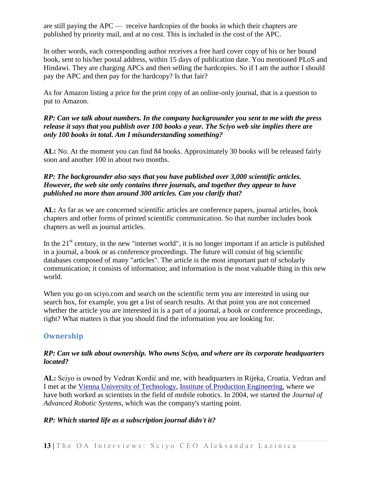are still paying the APC — receive hardcopies of the books in which their chapters are published by priority mail, and at no cost. This is included in the cost of the APC.

In other words, each corresponding author receives a free hard cover copy of his or her bound book, sent to his/her postal address, within 15 days of publication date. You mentioned PLoS and Hindawi. They are charging APCs and then selling the hardcopies. So if I am the author I should pay the APC and then pay for the hardcopy? Is that fair?

As for Amazon listing a price for the print copy of an online-only journal, that is a question to put to Amazon.

## *RP: Can we talk about numbers. In the company backgrounder you sent to me with the press release it says that you publish over 100 books a year. The Sciyo web site implies there are only 100 books in total. Am I misunderstanding something?*

**AL:** No. At the moment you can find 84 books. Approximately 30 books will be released fairly soon and another 100 in about two months.

## *RP: The backgrounder also says that you have published over 3,000 scientific articles. However, the web site only contains three journals, and together they appear to have published no more than around 300 articles. Can you clarify that?*

**AL:** As far as we are concerned scientific articles are conference papers, journal articles, book chapters and other forms of printed scientific communication. So that number includes book chapters as well as journal articles.

In the  $21<sup>st</sup>$  century, in the new "internet world", it is no longer important if an article is published in a journal, a book or as conference proceedings. The future will consist of big scientific databases composed of many "articles". The article is the most important part of scholarly communication; it consists of information; and information is the most valuable thing in this new world.

When you go on sciyo.com and search on the scientific term you are interested in using our search box, for example, you get a list of search results. At that point you are not concerned whether the article you are interested in is a part of a journal, a book or conference proceedings, right? What matters is that you should find the information you are looking for.

# **Ownership**

## *RP: Can we talk about ownership. Who owns Sciyo, and where are its corporate headquarters located?*

**AL:** Sciyo is owned by Vedran Kordić and me, with headquarters in Rijeka, Croatia. Vedran and I met at the [Vienna University of Technology,](http://www.tuwien.ac.at/tu_vienna/) [Institute of Production Engineering,](http://tuwis.tuwien.ac.at/zope/_ZopeId/07062127A2pNy7AZqe4/tpp/lv/inst/InstLvase?nr=311) where we have both worked as scientists in the field of mobile robotics. In 2004, we started the *Journal of Advanced Robotic Systems*, which was the company's starting point.

## *RP: Which started life as a subscription journal didn't it?*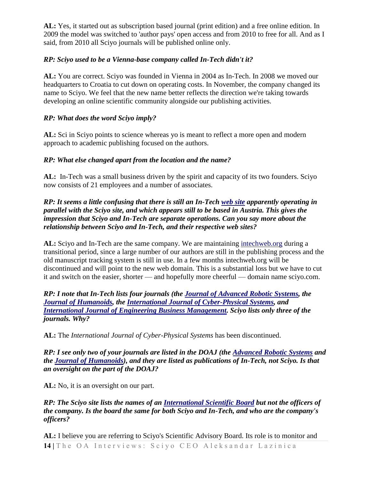**AL:** Yes, it started out as subscription based journal (print edition) and a free online edition. In 2009 the model was switched to 'author pays' open access and from 2010 to free for all. And as I said, from 2010 all Sciyo journals will be published online only.

## *RP: Sciyo used to be a Vienna-base company called In-Tech didn't it?*

**AL:** You are correct. Sciyo was founded in Vienna in 2004 as In-Tech. In 2008 we moved our headquarters to Croatia to cut down on operating costs. In November, the company changed its name to Sciyo. We feel that the new name better reflects the direction we're taking towards developing an online scientific community alongside our publishing activities.

## *RP: What does the word Sciyo imply?*

**AL:** Sci in Sciyo points to science whereas yo is meant to reflect a more open and modern approach to academic publishing focused on the authors.

## *RP: What else changed apart from the location and the name?*

**AL:** In-Tech was a small business driven by the spirit and capacity of its two founders. Sciyo now consists of 21 employees and a number of associates.

## *RP: It seems a little confusing that there is still an In-Tech [web site](http://intechweb.org/) apparently operating in parallel with the Sciyo site, and which appears still to be based in Austria. This gives the impression that Sciyo and In-Tech are separate operations. Can you say more about the relationship between Sciyo and In-Tech, and their respective web sites?*

**AL:** Sciyo and In-Tech are the same company. We are maintaining [intechweb.org](http://intechweb.org/) during a transitional period, since a large number of our authors are still in the publishing process and the old manuscript tracking system is still in use. In a few months intechweb.org will be discontinued and will point to the new web domain. This is a substantial loss but we have to cut it and switch on the easier, shorter — and hopefully more cheerful — domain name sciyo.com.

*RP: I note that In-Tech lists four journals (the [Journal of Advanced Robotic Systems,](http://www.intechweb.org/journal.php?id=3&content=title&sid=15) the [Journal of Humanoids,](http://www.intechweb.org/journal.php?id=4&content=title&sid=15) the [International Journal of Cyber-Physical Systems,](http://www.intechweb.org/journal.php?id=5&content=title&sid=15) and [International Journal of Engineering Business Management.](http://www.intechweb.org/journal.php?id=6&content=title&sid=15) Sciyo lists only three of the journals. Why?*

**AL:** The *International Journal of Cyber-Physical Systems* has been discontinued.

*RP: I see only two of your journals are listed in the DOAJ (the [Advanced Robotic Systems](http://www.intechweb.org/journal.php?id=3) and the [Journal of Humanoids\)](http://www.intechweb.org/journal.php?id=4), and they are listed as publications of In-Tech, not Sciyo. Is that an oversight on the part of the DOAJ?*

**AL:** No, it is an oversight on our part.

*RP: The Sciyo site lists the names of an [International Scientific Board](http://www.sciyo.com/page/boards) but not the officers of the company. Is the board the same for both Sciyo and In-Tech, and who are the company's officers?* 

**14** | The OA Interviews: Sciyo CEO Aleksandar Lazinica **AL:** I believe you are referring to Sciyo's Scientific Advisory Board. Its role is to monitor and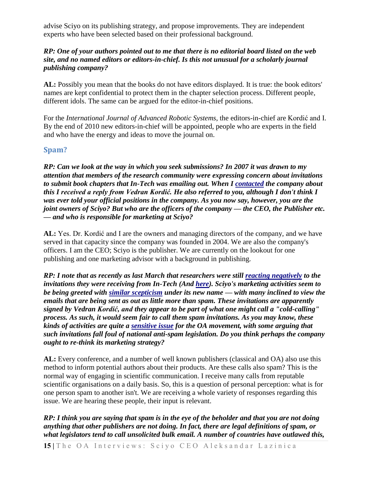advise Sciyo on its publishing strategy, and propose improvements. They are independent experts who have been selected based on their professional background.

## *RP: One of your authors pointed out to me that there is no editorial board listed on the web site, and no named editors or editors-in-chief. Is this not unusual for a scholarly journal publishing company?*

**AL:** Possibly you mean that the books do not have editors displayed. It is true: the book editors' names are kept confidential to protect them in the chapter selection process. Different people, different idols. The same can be argued for the editor-in-chief positions.

For the *International Journal of Advanced Robotic Systems*, the editors-in-chief are Kordić and I. By the end of 2010 new editors-in-chief will be appointed, people who are experts in the field and who have the energy and ideas to move the journal on.

## **Spam?**

*RP: Can we look at the way in which you seek submissions? In 2007 it was drawn to my attention that members of the research community were expressing concern about invitations to submit book chapters that In-Tech was emailing out. When I [contacted](http://listserver.sigmaxi.org/sc/wa.exe?A2=ind07&L=american-scientist-open-access-forum&D=1&O=D&F=l&S=&P=114158) the company about this I received a reply from Vedran Kordić. He also referred to you, although I don't think I was ever told your official positions in the company. As you now say, however, you are the joint owners of Sciyo? But who are the officers of the company — the CEO, the Publisher etc. — and who is responsible for marketing at Sciyo?*

**AL:** Yes. Dr. Kordić and I are the owners and managing directors of the company, and we have served in that capacity since the company was founded in 2004. We are also the company's officers. I am the CEO; Sciyo is the publisher. We are currently on the lookout for one publishing and one marketing advisor with a background in publishing.

*RP: I note that as recently as last March that researchers were still [reacting negatively](http://www.velamparambil.com/2009/03/16/scientific-book-publishing-the-new-nigerian-scam/) to the invitations they were receiving from In-Tech (And [here\)](http://bbangbbang.wordpress.com/2009/03/25/nominated-to-publish-scientific-book-chapter/). Sciyo's marketing activities seem to be being greeted with [similar scepticism](https://chronicle.com/forums/index.php?topic=65148.0) under its new name — with many inclined to view the emails that are being sent as out as little more than spam. These invitations are apparently signed by Vedran Kordić, and they appear to be part of what one might call a "cold-calling" process. As such, it would seem fair to call them spam invitations. As you may know, these kinds of activities are quite a [sensitive issue](http://poynder.blogspot.com/2008/04/open-access-interviews-matthew-honan.html) for the OA movement, with some arguing that such invitations fall foul of national anti-spam legislation. Do you think perhaps the company ought to re-think its marketing strategy?* 

**AL:** Every conference, and a number of well known publishers (classical and OA) also use this method to inform potential authors about their products. Are these calls also spam? This is the normal way of engaging in scientific communication. I receive many calls from reputable scientific organisations on a daily basis. So, this is a question of personal perception: what is for one person spam to another isn't. We are receiving a whole variety of responses regarding this issue. We are hearing these people, their input is relevant.

*RP: I think you are saying that spam is in the eye of the beholder and that you are not doing anything that other publishers are not doing. In fact, there are legal definitions of spam, or what legislators tend to call unsolicited bulk email. A number of countries have outlawed this,*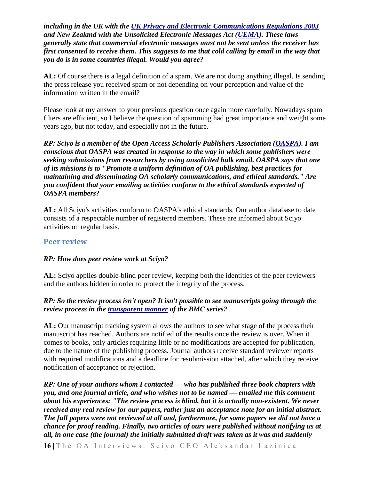*including in the UK with the [UK Privacy and Electronic Communications Regulations 2003](http://www.ico.gov.uk/what_we_cover/privacy_and_electronic_communications/the_basics.aspx) and New Zealand with the Unsolicited Electronic Messages Act [\(UEMA\)](http://www.legislation.govt.nz/act/public/2007/0007/latest/whole.html#DLM405134). These laws generally state that commercial electronic messages must not be sent unless the receiver has first consented to receive them. This suggests to me that cold calling by email in the way that you do is in some countries illegal. Would you agree?*

**AL:** Of course there is a legal definition of a spam. We are not doing anything illegal. Is sending the press release you received spam or not depending on your perception and value of the information written in the email?

Please look at my answer to your previous question once again more carefully. Nowadays spam filters are efficient, so I believe the question of spamming had great importance and weight some years ago, but not today, and especially not in the future.

*RP: Sciyo is a member of the Open Access Scholarly Publishers Association [\(OASPA\)](http://www.oaspa.org/). I am conscious that OASPA was created in response to the way in which some publishers were seeking submissions from researchers by using unsolicited bulk email. OASPA says that one of its missions is to "Promote a uniform definition of OA publishing, best practices for maintaining and disseminating OA scholarly communications, and ethical standards." Are you confident that your emailing activities conform to the ethical standards expected of OASPA members?*

**AL:** All Sciyo's activities conform to OASPA's ethical standards. Our author database to date consists of a respectable number of registered members. These are informed about Sciyo activities on regular basis.

## **Peer review**

## *RP: How does peer review work at Sciyo?*

**AL:** Sciyo applies double-blind peer review, keeping both the identities of the peer reviewers and the authors hidden in order to protect the integrity of the process.

## *RP: So the review process isn't open? It isn't possible to see manuscripts going through the review process in the [transparent manner](http://www.biomedcentral.com/1741-7015/3/10/prepub) of the BMC series?*

**AL:** Our manuscript tracking system allows the authors to see what stage of the process their manuscript has reached. Authors are notified of the results once the review is over. When it comes to books, only articles requiring little or no modifications are accepted for publication, due to the nature of the publishing process. Journal authors receive standard reviewer reports with required modifications and a deadline for resubmission attached, after which they receive notification of acceptance or rejection.

*RP: One of your authors whom I contacted — who has published three book chapters with you, and one journal article, and who wishes not to be named — emailed me this comment about his experiences: "The review process is blind, but it is actually non-existent. We never received any real review for our papers, rather just an acceptance note for an initial abstract. The full papers were not reviewed at all and, furthermore, for some papers we did not have a chance for proof reading. Finally, two articles of ours were published without notifying us at all, in one case (the journal) the initially submitted draft was taken as it was and suddenly*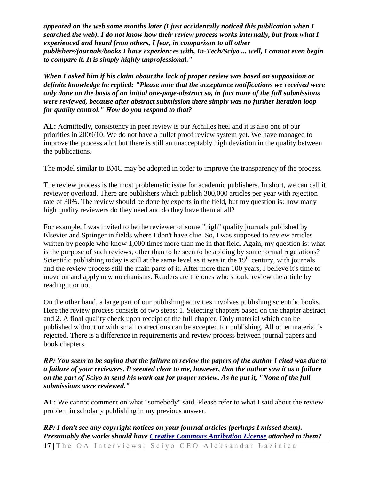*appeared on the web some months later (I just accidentally noticed this publication when I searched the web). I do not know how their review process works internally, but from what I experienced and heard from others, I fear, in comparison to all other publishers/journals/books I have experiences with, In-Tech/Sciyo ... well, I cannot even begin to compare it. It is simply highly unprofessional."*

*When I asked him if his claim about the lack of proper review was based on supposition or definite knowledge he replied: "Please note that the acceptance notifications we received were only done on the basis of an initial one-page-abstract so, in fact none of the full submissions were reviewed, because after abstract submission there simply was no further iteration loop for quality control." How do you respond to that?*

**AL:** Admittedly, consistency in peer review is our Achilles heel and it is also one of our priorities in 2009/10. We do not have a bullet proof review system yet. We have managed to improve the process a lot but there is still an unacceptably high deviation in the quality between the publications.

The model similar to BMC may be adopted in order to improve the transparency of the process.

The review process is the most problematic issue for academic publishers. In short, we can call it reviewer overload. There are publishers which publish 300,000 articles per year with rejection rate of 30%. The review should be done by experts in the field, but my question is: how many high quality reviewers do they need and do they have them at all?

For example, I was invited to be the reviewer of some "high" quality journals published by Elsevier and Springer in fields where I don't have clue. So, I was supposed to review articles written by people who know 1,000 times more than me in that field. Again, my question is: what is the purpose of such reviews, other than to be seen to be abiding by some formal regulations? Scientific publishing today is still at the same level as it was in the  $19<sup>th</sup>$  century, with journals and the review process still the main parts of it. After more than 100 years, I believe it's time to move on and apply new mechanisms. Readers are the ones who should review the article by reading it or not.

On the other hand, a large part of our publishing activities involves publishing scientific books. Here the review process consists of two steps: 1. Selecting chapters based on the chapter abstract and 2. A final quality check upon receipt of the full chapter. Only material which can be published without or with small corrections can be accepted for publishing. All other material is rejected. There is a difference in requirements and review process between journal papers and book chapters.

### *RP: You seem to be saying that the failure to review the papers of the author I cited was due to a failure of your reviewers. It seemed clear to me, however, that the author saw it as a failure on the part of Sciyo to send his work out for proper review. As he put it, "None of the full submissions were reviewed."*

**AL:** We cannot comment on what "somebody" said. Please refer to what I said about the review problem in scholarly publishing in my previous answer.

*RP: I don't see any copyright notices on your journal articles (perhaps I missed them). Presumably the works should have [Creative Commons Attribution License](http://creativecommons.org/licenses/by/2.0/) attached to them?*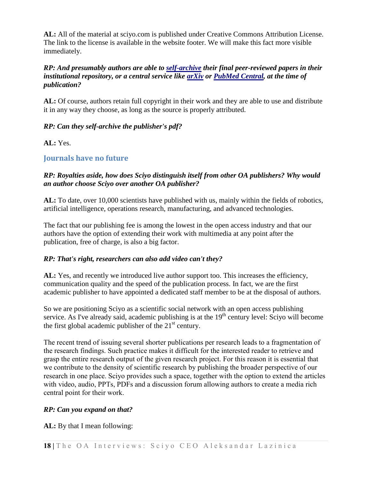**AL:** All of the material at sciyo.com is published under Creative Commons Attribution License. The link to the license is available in the website footer. We will make this fact more visible immediately.

## *RP: And presumably authors are able to [self-archive](http://en.wikipedia.org/wiki/Self-archiving) their final peer-reviewed papers in their institutional repository, or a central service like [arXiv](http://arxiv.org/) or [PubMed Central,](http://www.ncbi.nlm.nih.gov/pmc/) at the time of publication?*

**AL:** Of course, authors retain full copyright in their work and they are able to use and distribute it in any way they choose, as long as the source is properly attributed.

## *RP: Can they self-archive the publisher's pdf?*

**AL:** Yes.

## **Journals have no future**

## *RP: Royalties aside, how does Sciyo distinguish itself from other OA publishers? Why would an author choose Sciyo over another OA publisher?*

**AL:** To date, over 10,000 scientists have published with us, mainly within the fields of robotics, artificial intelligence, operations research, manufacturing, and advanced technologies.

The fact that our publishing fee is among the lowest in the open access industry and that our authors have the option of extending their work with multimedia at any point after the publication, free of charge, is also a big factor.

## *RP: That's right, researchers can also add video can't they?*

AL: Yes, and recently we introduced live author support too. This increases the efficiency, communication quality and the speed of the publication process. In fact, we are the first academic publisher to have appointed a dedicated staff member to be at the disposal of authors.

So we are positioning Sciyo as a scientific social network with an open access publishing service. As I've already said, academic publishing is at the  $19<sup>th</sup>$  century level: Sciyo will become the first global academic publisher of the  $21<sup>st</sup>$  century.

The recent trend of issuing several shorter publications per research leads to a fragmentation of the research findings. Such practice makes it difficult for the interested reader to retrieve and grasp the entire research output of the given research project. For this reason it is essential that we contribute to the density of scientific research by publishing the broader perspective of our research in one place. Sciyo provides such a space, together with the option to extend the articles with video, audio, PPTs, PDFs and a discussion forum allowing authors to create a media rich central point for their work.

## *RP: Can you expand on that?*

**AL:** By that I mean following: